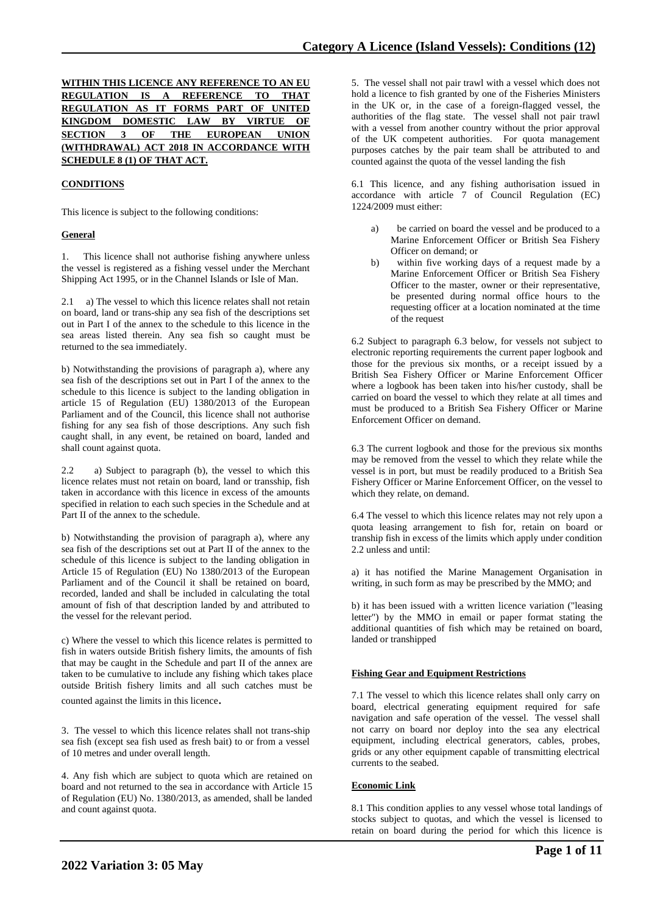|  |  |  |                                    | WITHIN THIS LICENCE ANY REFERENCE TO AN EU |  |  |
|--|--|--|------------------------------------|--------------------------------------------|--|--|
|  |  |  |                                    | REGULATION IS A REFERENCE TO THAT          |  |  |
|  |  |  |                                    | REGULATION AS IT FORMS PART OF UNITED      |  |  |
|  |  |  |                                    | KINGDOM DOMESTIC LAW BY VIRTUE OF          |  |  |
|  |  |  |                                    | SECTION 3 OF THE EUROPEAN UNION            |  |  |
|  |  |  |                                    | (WITHDRAWAL) ACT 2018 IN ACCORDANCE WITH   |  |  |
|  |  |  | <b>SCHEDULE 8 (1) OF THAT ACT.</b> |                                            |  |  |

# **CONDITIONS**

This licence is subject to the following conditions:

## **General**

1. This licence shall not authorise fishing anywhere unless the vessel is registered as a fishing vessel under the Merchant Shipping Act 1995, or in the Channel Islands or Isle of Man.

2.1 a) The vessel to which this licence relates shall not retain on board, land or trans-ship any sea fish of the descriptions set out in Part I of the annex to the schedule to this licence in the sea areas listed therein. Any sea fish so caught must be returned to the sea immediately.

b) Notwithstanding the provisions of paragraph a), where any sea fish of the descriptions set out in Part I of the annex to the schedule to this licence is subject to the landing obligation in article 15 of Regulation (EU) 1380/2013 of the European Parliament and of the Council, this licence shall not authorise fishing for any sea fish of those descriptions. Any such fish caught shall, in any event, be retained on board, landed and shall count against quota.

2.2 a) Subject to paragraph (b), the vessel to which this licence relates must not retain on board, land or transship, fish taken in accordance with this licence in excess of the amounts specified in relation to each such species in the Schedule and at Part II of the annex to the schedule.

b) Notwithstanding the provision of paragraph a), where any sea fish of the descriptions set out at Part II of the annex to the schedule of this licence is subject to the landing obligation in Article 15 of Regulation (EU) No 1380/2013 of the European Parliament and of the Council it shall be retained on board, recorded, landed and shall be included in calculating the total amount of fish of that description landed by and attributed to the vessel for the relevant period.

c) Where the vessel to which this licence relates is permitted to fish in waters outside British fishery limits, the amounts of fish that may be caught in the Schedule and part II of the annex are taken to be cumulative to include any fishing which takes place outside British fishery limits and all such catches must be counted against the limits in this licence.

3. The vessel to which this licence relates shall not trans-ship sea fish (except sea fish used as fresh bait) to or from a vessel of 10 metres and under overall length.

4. Any fish which are subject to quota which are retained on board and not returned to the sea in accordance with Article 15 of Regulation (EU) No. 1380/2013, as amended, shall be landed and count against quota.

5. The vessel shall not pair trawl with a vessel which does not hold a licence to fish granted by one of the Fisheries Ministers in the UK or, in the case of a foreign-flagged vessel, the authorities of the flag state. The vessel shall not pair trawl with a vessel from another country without the prior approval of the UK competent authorities. For quota management purposes catches by the pair team shall be attributed to and counted against the quota of the vessel landing the fish

6.1 This licence, and any fishing authorisation issued in accordance with article 7 of Council Regulation (EC) 1224/2009 must either:

- be carried on board the vessel and be produced to a Marine Enforcement Officer or British Sea Fishery Officer on demand; or
- b) within five working days of a request made by a Marine Enforcement Officer or British Sea Fishery Officer to the master, owner or their representative, be presented during normal office hours to the requesting officer at a location nominated at the time of the request

6.2 Subject to paragraph 6.3 below, for vessels not subject to electronic reporting requirements the current paper logbook and those for the previous six months, or a receipt issued by a British Sea Fishery Officer or Marine Enforcement Officer where a logbook has been taken into his/her custody, shall be carried on board the vessel to which they relate at all times and must be produced to a British Sea Fishery Officer or Marine Enforcement Officer on demand.

6.3 The current logbook and those for the previous six months may be removed from the vessel to which they relate while the vessel is in port, but must be readily produced to a British Sea Fishery Officer or Marine Enforcement Officer, on the vessel to which they relate, on demand.

6.4 The vessel to which this licence relates may not rely upon a quota leasing arrangement to fish for, retain on board or tranship fish in excess of the limits which apply under condition 2.2 unless and until:

a) it has notified the Marine Management Organisation in writing, in such form as may be prescribed by the MMO; and

b) it has been issued with a written licence variation ("leasing letter") by the MMO in email or paper format stating the additional quantities of fish which may be retained on board, landed or transhipped

### **Fishing Gear and Equipment Restrictions**

7.1 The vessel to which this licence relates shall only carry on board, electrical generating equipment required for safe navigation and safe operation of the vessel. The vessel shall not carry on board nor deploy into the sea any electrical equipment, including electrical generators, cables, probes, grids or any other equipment capable of transmitting electrical currents to the seabed.

### **Economic Link**

8.1 This condition applies to any vessel whose total landings of stocks subject to quotas, and which the vessel is licensed to retain on board during the period for which this licence is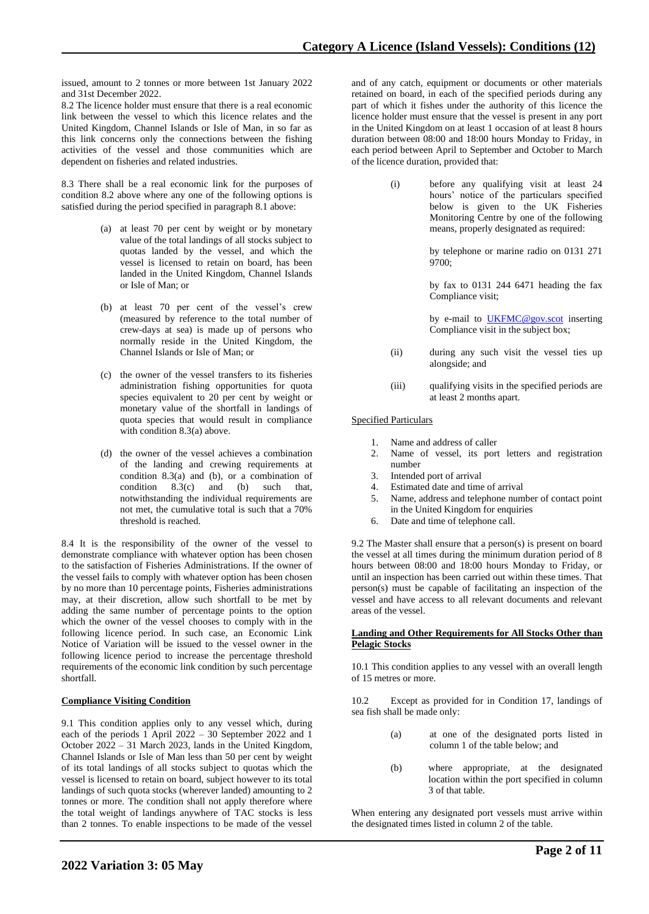issued, amount to 2 tonnes or more between 1st January 2022 and 31st December 2022.

8.2 The licence holder must ensure that there is a real economic link between the vessel to which this licence relates and the United Kingdom, Channel Islands or Isle of Man, in so far as this link concerns only the connections between the fishing activities of the vessel and those communities which are dependent on fisheries and related industries.

8.3 There shall be a real economic link for the purposes of condition 8.2 above where any one of the following options is satisfied during the period specified in paragraph 8.1 above:

- (a) at least 70 per cent by weight or by monetary value of the total landings of all stocks subject to quotas landed by the vessel, and which the vessel is licensed to retain on board, has been landed in the United Kingdom, Channel Islands or Isle of Man; or
- (b) at least 70 per cent of the vessel's crew (measured by reference to the total number of crew-days at sea) is made up of persons who normally reside in the United Kingdom, the Channel Islands or Isle of Man; or
- (c) the owner of the vessel transfers to its fisheries administration fishing opportunities for quota species equivalent to 20 per cent by weight or monetary value of the shortfall in landings of quota species that would result in compliance with condition 8.3(a) above.
- (d) the owner of the vessel achieves a combination of the landing and crewing requirements at condition 8.3(a) and (b), or a combination of condition 8.3(c) and (b) such that, notwithstanding the individual requirements are not met, the cumulative total is such that a 70% threshold is reached.

8.4 It is the responsibility of the owner of the vessel to demonstrate compliance with whatever option has been chosen to the satisfaction of Fisheries Administrations. If the owner of the vessel fails to comply with whatever option has been chosen by no more than 10 percentage points, Fisheries administrations may, at their discretion, allow such shortfall to be met by adding the same number of percentage points to the option which the owner of the vessel chooses to comply with in the following licence period. In such case, an Economic Link Notice of Variation will be issued to the vessel owner in the following licence period to increase the percentage threshold requirements of the economic link condition by such percentage shortfall.

# **Compliance Visiting Condition**

9.1 This condition applies only to any vessel which, during each of the periods 1 April 2022 – 30 September 2022 and 1 October 2022 – 31 March 2023, lands in the United Kingdom, Channel Islands or Isle of Man less than 50 per cent by weight of its total landings of all stocks subject to quotas which the vessel is licensed to retain on board, subject however to its total landings of such quota stocks (wherever landed) amounting to 2 tonnes or more. The condition shall not apply therefore where the total weight of landings anywhere of TAC stocks is less than 2 tonnes. To enable inspections to be made of the vessel

and of any catch, equipment or documents or other materials retained on board, in each of the specified periods during any part of which it fishes under the authority of this licence the licence holder must ensure that the vessel is present in any port in the United Kingdom on at least 1 occasion of at least 8 hours duration between 08:00 and 18:00 hours Monday to Friday, in each period between April to September and October to March of the licence duration, provided that:

> (i) before any qualifying visit at least 24 hours' notice of the particulars specified below is given to the UK Fisheries Monitoring Centre by one of the following means, properly designated as required:

> > by telephone or marine radio on 0131 271 9700;

> > by fax to 0131 244 6471 heading the fax Compliance visit;

> > by e-mail to **UKFMC@gov.scot** inserting Compliance visit in the subject box;

- (ii) during any such visit the vessel ties up alongside; and
- (iii) qualifying visits in the specified periods are at least 2 months apart.

### Specified Particulars

- 1. Name and address of caller
- 2. Name of vessel, its port letters and registration number
- 3. Intended port of arrival
- 4. Estimated date and time of arrival<br>5. Name, address and telephone num
- 5. Name, address and telephone number of contact point in the United Kingdom for enquiries
- 6. Date and time of telephone call.

9.2 The Master shall ensure that a person(s) is present on board the vessel at all times during the minimum duration period of 8 hours between 08:00 and 18:00 hours Monday to Friday, or until an inspection has been carried out within these times. That person(s) must be capable of facilitating an inspection of the vessel and have access to all relevant documents and relevant areas of the vessel.

#### **Landing and Other Requirements for All Stocks Other than Pelagic Stocks**

10.1 This condition applies to any vessel with an overall length of 15 metres or more.

10.2 Except as provided for in Condition 17, landings of sea fish shall be made only:

- (a) at one of the designated ports listed in column 1 of the table below; and
- (b) where appropriate, at the designated location within the port specified in column 3 of that table.

When entering any designated port vessels must arrive within the designated times listed in column 2 of the table.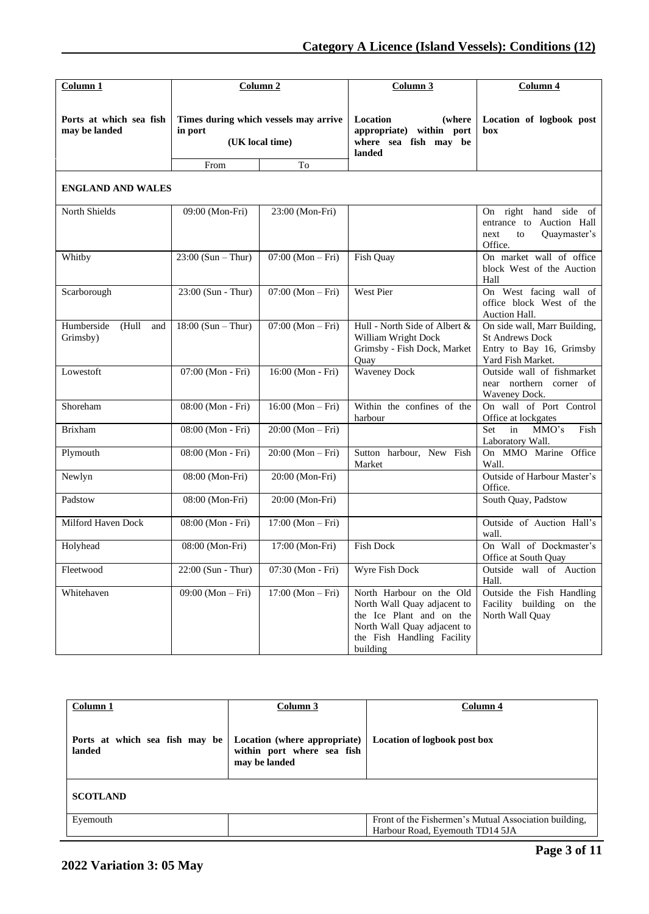| Column 1                                 |                                        | Column <sub>2</sub>                                      | Column 3                                                                                                                                                     | Column 4                                                                                                |  |  |
|------------------------------------------|----------------------------------------|----------------------------------------------------------|--------------------------------------------------------------------------------------------------------------------------------------------------------------|---------------------------------------------------------------------------------------------------------|--|--|
| Ports at which sea fish<br>may be landed | in port                                | Times during which vessels may arrive<br>(UK local time) | Location<br>(where<br>appropriate) within port<br>where sea fish may be<br>landed                                                                            | Location of logbook post<br>box                                                                         |  |  |
|                                          | To<br>From<br><b>ENGLAND AND WALES</b> |                                                          |                                                                                                                                                              |                                                                                                         |  |  |
| North Shields                            | 09:00 (Mon-Fri)                        | 23:00 (Mon-Fri)                                          |                                                                                                                                                              | On right hand side of<br>entrance to Auction Hall<br>Quaymaster's<br>to<br>next<br>Office.              |  |  |
| Whitby                                   | $23:00$ (Sun – Thur)                   | $07:00 (Mon-Fri)$                                        | Fish Quay                                                                                                                                                    | On market wall of office<br>block West of the Auction<br>Hall                                           |  |  |
| Scarborough                              | 23:00 (Sun - Thur)                     | $07:00 (Mon-Fri)$                                        | West Pier                                                                                                                                                    | On West facing wall of<br>office block West of the<br><b>Auction Hall.</b>                              |  |  |
| Humberside<br>(Hull<br>and<br>Grimsby)   | $18:00 (Sun - Thur)$                   | $07:00 (Mon-Fri)$                                        | Hull - North Side of Albert &<br>William Wright Dock<br>Grimsby - Fish Dock, Market<br>Quay                                                                  | On side wall, Marr Building,<br><b>St Andrews Dock</b><br>Entry to Bay 16, Grimsby<br>Yard Fish Market. |  |  |
| Lowestoft                                | 07:00 (Mon - Fri)                      | 16:00 (Mon - Fri)                                        | <b>Waveney Dock</b>                                                                                                                                          | Outside wall of fishmarket<br>near northern corner of<br>Waveney Dock.                                  |  |  |
| Shoreham                                 | 08:00 (Mon - Fri)                      | $16:00 (Mon-Fri)$                                        | Within the confines of the<br>harbour                                                                                                                        | On wall of Port Control<br>Office at lockgates                                                          |  |  |
| <b>Brixham</b>                           | 08:00 (Mon - Fri)                      | $20:00 (Mon-Fri)$                                        |                                                                                                                                                              | Set<br>in<br>MMO's<br>Fish<br>Laboratory Wall.                                                          |  |  |
| Plymouth                                 | 08:00 (Mon - Fri)                      | $20:00 (Mon-Fri)$                                        | Sutton harbour, New Fish<br>Market                                                                                                                           | On MMO Marine Office<br>Wall.                                                                           |  |  |
| Newlyn                                   | 08:00 (Mon-Fri)                        | 20:00 (Mon-Fri)                                          |                                                                                                                                                              | Outside of Harbour Master's<br>Office.                                                                  |  |  |
| Padstow                                  | 08:00 (Mon-Fri)                        | 20:00 (Mon-Fri)                                          |                                                                                                                                                              | South Quay, Padstow                                                                                     |  |  |
| Milford Haven Dock                       | 08:00 (Mon - Fri)                      | $17:00 (Mon-Fri)$                                        |                                                                                                                                                              | Outside of Auction Hall's<br>wall.                                                                      |  |  |
| Holyhead                                 | 08:00 (Mon-Fri)                        | 17:00 (Mon-Fri)                                          | <b>Fish Dock</b>                                                                                                                                             | On Wall of Dockmaster's<br>Office at South Quay                                                         |  |  |
| Fleetwood                                | $22:00$ (Sun - Thur)                   | 07:30 (Mon - Fri)                                        | Wyre Fish Dock                                                                                                                                               | Outside wall of Auction<br>Hall.                                                                        |  |  |
| Whitehaven                               | 09:00 (Mon – Fri)                      | $17:00 (Mon-Fri)$                                        | North Harbour on the Old<br>North Wall Quay adjacent to<br>the Ice Plant and on the<br>North Wall Quay adjacent to<br>the Fish Handling Facility<br>building | Outside the Fish Handling<br>Facility building<br>on the<br>North Wall Quay                             |  |  |

| Column 1                                 | Column 3                                                                    | Column 4                                                                                 |  |
|------------------------------------------|-----------------------------------------------------------------------------|------------------------------------------------------------------------------------------|--|
| Ports at which sea fish may be<br>landed | Location (where appropriate)<br>within port where sea fish<br>may be landed | Location of logbook post box                                                             |  |
| <b>SCOTLAND</b>                          |                                                                             |                                                                                          |  |
| Eyemouth                                 |                                                                             | Front of the Fishermen's Mutual Association building,<br>Harbour Road, Eyemouth TD14 5JA |  |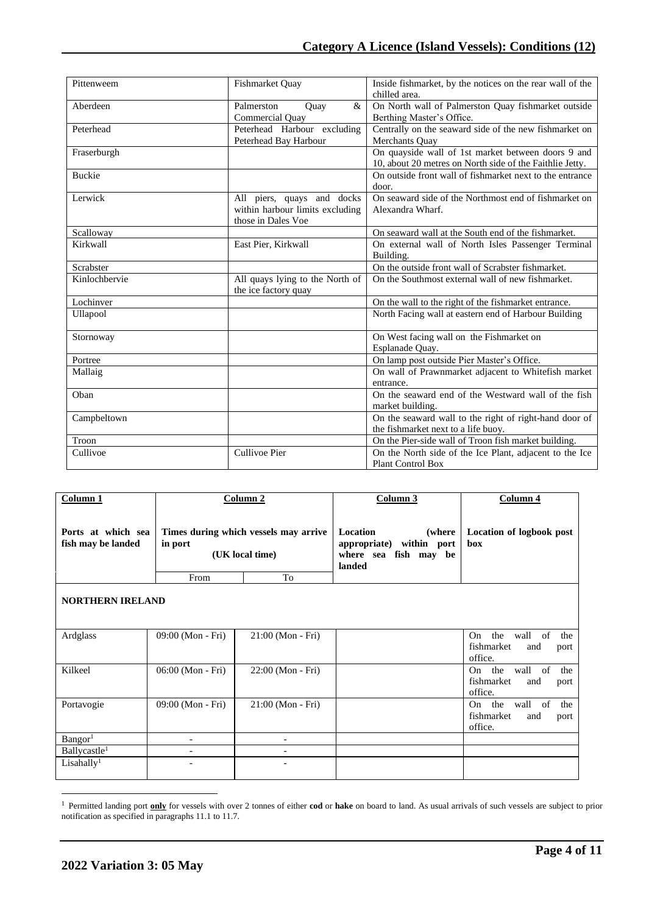| Pittenweem    | Fishmarket Ouay                                                                     | Inside fishmarket, by the notices on the rear wall of the<br>chilled area.                                     |
|---------------|-------------------------------------------------------------------------------------|----------------------------------------------------------------------------------------------------------------|
| Aberdeen      | $\mathcal{R}_{\mathcal{L}}$<br>Palmerston<br>Quay<br>Commercial Quay                | On North wall of Palmerston Quay fishmarket outside<br>Berthing Master's Office.                               |
| Peterhead     | Peterhead Harbour excluding<br>Peterhead Bay Harbour                                | Centrally on the seaward side of the new fishmarket on<br>Merchants Quay                                       |
| Fraserburgh   |                                                                                     | On quayside wall of 1st market between doors 9 and<br>10, about 20 metres on North side of the Faithlie Jetty. |
| <b>Buckie</b> |                                                                                     | On outside front wall of fishmarket next to the entrance<br>door.                                              |
| Lerwick       | All piers, quays and docks<br>within harbour limits excluding<br>those in Dales Voe | On seaward side of the Northmost end of fishmarket on<br>Alexandra Wharf.                                      |
| Scalloway     |                                                                                     | On seaward wall at the South end of the fishmarket.                                                            |
| Kirkwall      | East Pier, Kirkwall                                                                 | On external wall of North Isles Passenger Terminal<br>Building.                                                |
| Scrabster     |                                                                                     | On the outside front wall of Scrabster fishmarket.                                                             |
| Kinlochbervie | All quays lying to the North of<br>the ice factory quay                             | On the Southmost external wall of new fishmarket.                                                              |
| Lochinver     |                                                                                     | On the wall to the right of the fishmarket entrance.                                                           |
| Ullapool      |                                                                                     | North Facing wall at eastern end of Harbour Building                                                           |
| Stornoway     |                                                                                     | On West facing wall on the Fishmarket on<br>Esplanade Quay.                                                    |
| Portree       |                                                                                     | On lamp post outside Pier Master's Office.                                                                     |
| Mallaig       |                                                                                     | On wall of Prawnmarket adjacent to Whitefish market<br>entrance.                                               |
| Oban          |                                                                                     | On the seaward end of the Westward wall of the fish<br>market building.                                        |
| Campbeltown   |                                                                                     | On the seaward wall to the right of right-hand door of<br>the fishmarket next to a life buoy.                  |
| Troon         |                                                                                     | On the Pier-side wall of Troon fish market building.                                                           |
| Cullivoe      | Cullivoe Pier                                                                       | On the North side of the Ice Plant, adjacent to the Ice<br><b>Plant Control Box</b>                            |

| Column 1                                 |                          | Column 2                                                 | Column 3                                                                           | Column 4                                                                |  |
|------------------------------------------|--------------------------|----------------------------------------------------------|------------------------------------------------------------------------------------|-------------------------------------------------------------------------|--|
| Ports at which sea<br>fish may be landed | in port                  | Times during which vessels may arrive<br>(UK local time) | Location<br>(where)<br>appropriate) within port<br>where sea fish may be<br>landed | Location of logbook post<br>box                                         |  |
|                                          | From                     | To                                                       |                                                                                    |                                                                         |  |
| <b>NORTHERN IRELAND</b>                  |                          |                                                          |                                                                                    |                                                                         |  |
| Ardglass                                 | 09:00 (Mon - Fri)        | $21:00$ (Mon - Fri)                                      |                                                                                    | the<br>wall<br>of<br>On<br>the<br>fishmarket<br>and<br>port<br>office.  |  |
| Kilkeel                                  | 06:00 (Mon - Fri)        | 22:00 (Mon - Fri)                                        |                                                                                    | the<br>of<br>wall<br>the<br>On<br>fishmarket<br>and<br>port<br>office.  |  |
| Portavogie                               | 09:00 (Mon - Fri)        | 21:00 (Mon - Fri)                                        |                                                                                    | the<br>of<br>wall<br>On.<br>the<br>fishmarket<br>and<br>port<br>office. |  |
| Bangor <sup>1</sup>                      | $\overline{\phantom{0}}$ | $\overline{\phantom{a}}$                                 |                                                                                    |                                                                         |  |
| Ballycastle <sup>1</sup>                 |                          |                                                          |                                                                                    |                                                                         |  |
| Lisahally <sup>1</sup>                   |                          |                                                          |                                                                                    |                                                                         |  |

<sup>1</sup> Permitted landing port **only** for vessels with over 2 tonnes of either **cod** or **hake** on board to land. As usual arrivals of such vessels are subject to prior notification as specified in paragraphs 11.1 to 11.7.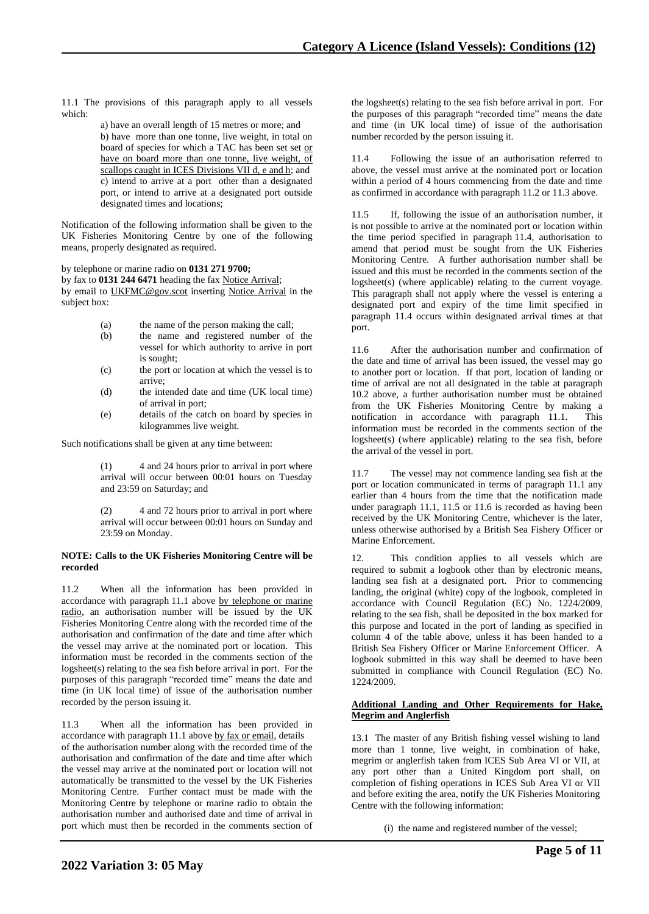11.1 The provisions of this paragraph apply to all vessels which:

> a) have an overall length of 15 metres or more; and b) have more than one tonne, live weight, in total on board of species for which a TAC has been set set or have on board more than one tonne, live weight, of scallops caught in ICES Divisions VII d, e and h; and c) intend to arrive at a port other than a designated port, or intend to arrive at a designated port outside designated times and locations;

Notification of the following information shall be given to the UK Fisheries Monitoring Centre by one of the following means, properly designated as required.

by telephone or marine radio on **0131 271 9700;**

by fax to **0131 244 6471** heading the fax Notice Arrival; by email to UKFMC@gov.scot inserting Notice Arrival in the subject box:

- (a) the name of the person making the call;
- (b) the name and registered number of the vessel for which authority to arrive in port is sought;
- (c) the port or location at which the vessel is to arrive;
- (d) the intended date and time (UK local time) of arrival in port;
- (e) details of the catch on board by species in kilogrammes live weight.

Such notifications shall be given at any time between:

(1) 4 and 24 hours prior to arrival in port where arrival will occur between 00:01 hours on Tuesday and 23:59 on Saturday; and

(2) 4 and 72 hours prior to arrival in port where arrival will occur between 00:01 hours on Sunday and 23:59 on Monday.

### **NOTE: Calls to the UK Fisheries Monitoring Centre will be recorded**

11.2 When all the information has been provided in accordance with paragraph 11.1 above by telephone or marine radio, an authorisation number will be issued by the UK Fisheries Monitoring Centre along with the recorded time of the authorisation and confirmation of the date and time after which the vessel may arrive at the nominated port or location. This information must be recorded in the comments section of the logsheet(s) relating to the sea fish before arrival in port. For the purposes of this paragraph "recorded time" means the date and time (in UK local time) of issue of the authorisation number recorded by the person issuing it.

11.3 When all the information has been provided in accordance with paragraph 11.1 above by fax or email, details of the authorisation number along with the recorded time of the authorisation and confirmation of the date and time after which the vessel may arrive at the nominated port or location will not automatically be transmitted to the vessel by the UK Fisheries Monitoring Centre. Further contact must be made with the Monitoring Centre by telephone or marine radio to obtain the authorisation number and authorised date and time of arrival in port which must then be recorded in the comments section of

the logsheet(s) relating to the sea fish before arrival in port. For the purposes of this paragraph "recorded time" means the date and time (in UK local time) of issue of the authorisation number recorded by the person issuing it.

11.4 Following the issue of an authorisation referred to above, the vessel must arrive at the nominated port or location within a period of 4 hours commencing from the date and time as confirmed in accordance with paragraph 11.2 or 11.3 above.

11.5 If, following the issue of an authorisation number, it is not possible to arrive at the nominated port or location within the time period specified in paragraph 11.4, authorisation to amend that period must be sought from the UK Fisheries Monitoring Centre. A further authorisation number shall be issued and this must be recorded in the comments section of the logsheet(s) (where applicable) relating to the current voyage. This paragraph shall not apply where the vessel is entering a designated port and expiry of the time limit specified in paragraph 11.4 occurs within designated arrival times at that port.

11.6 After the authorisation number and confirmation of the date and time of arrival has been issued, the vessel may go to another port or location. If that port, location of landing or time of arrival are not all designated in the table at paragraph 10.2 above, a further authorisation number must be obtained from the UK Fisheries Monitoring Centre by making a notification in accordance with paragraph 11.1. This information must be recorded in the comments section of the logsheet(s) (where applicable) relating to the sea fish, before the arrival of the vessel in port.

11.7 The vessel may not commence landing sea fish at the port or location communicated in terms of paragraph 11.1 any earlier than 4 hours from the time that the notification made under paragraph 11.1, 11.5 or 11.6 is recorded as having been received by the UK Monitoring Centre, whichever is the later, unless otherwise authorised by a British Sea Fishery Officer or Marine Enforcement.

12. This condition applies to all vessels which are required to submit a logbook other than by electronic means, landing sea fish at a designated port. Prior to commencing landing, the original (white) copy of the logbook, completed in accordance with Council Regulation (EC) No. 1224/2009, relating to the sea fish, shall be deposited in the box marked for this purpose and located in the port of landing as specified in column 4 of the table above, unless it has been handed to a British Sea Fishery Officer or Marine Enforcement Officer. A logbook submitted in this way shall be deemed to have been submitted in compliance with Council Regulation (EC) No. 1224/2009.

## **Additional Landing and Other Requirements for Hake, Megrim and Anglerfish**

13.1 The master of any British fishing vessel wishing to land more than 1 tonne, live weight, in combination of hake, megrim or anglerfish taken from ICES Sub Area VI or VII, at any port other than a United Kingdom port shall, on completion of fishing operations in ICES Sub Area VI or VII and before exiting the area, notify the UK Fisheries Monitoring Centre with the following information:

(i) the name and registered number of the vessel;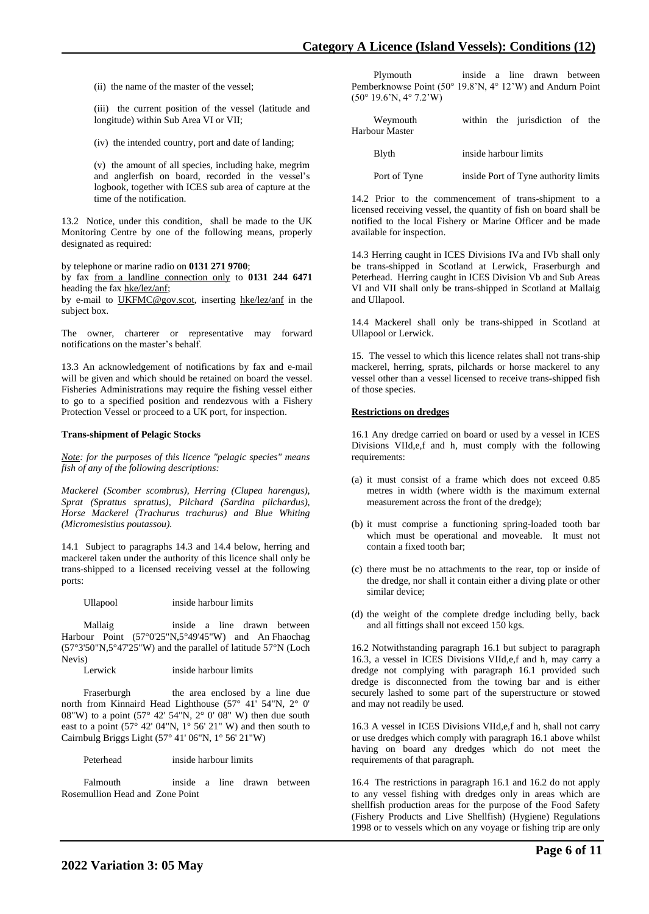(ii) the name of the master of the vessel;

(iii) the current position of the vessel (latitude and longitude) within Sub Area VI or VII;

(iv) the intended country, port and date of landing;

(v) the amount of all species, including hake, megrim and anglerfish on board, recorded in the vessel's logbook, together with ICES sub area of capture at the time of the notification.

13.2 Notice, under this condition, shall be made to the UK Monitoring Centre by one of the following means, properly designated as required:

by telephone or marine radio on **0131 271 9700**;

by fax from a landline connection only to **0131 244 6471** heading the fax hke/lez/anf;

by e-mail to UKFMC@gov.scot, inserting hke/lez/anf in the subject box.

The owner, charterer or representative may forward notifications on the master's behalf.

13.3 An acknowledgement of notifications by fax and e-mail will be given and which should be retained on board the vessel. Fisheries Administrations may require the fishing vessel either to go to a specified position and rendezvous with a Fishery Protection Vessel or proceed to a UK port, for inspection.

### **Trans-shipment of Pelagic Stocks**

*Note: for the purposes of this licence "pelagic species" means fish of any of the following descriptions:* 

*Mackerel (Scomber scombrus), Herring (Clupea harengus), Sprat (Sprattus sprattus), Pilchard (Sardina pilchardus), Horse Mackerel (Trachurus trachurus) and Blue Whiting (Micromesistius poutassou).*

14.1 Subject to paragraphs 14.3 and 14.4 below, herring and mackerel taken under the authority of this licence shall only be trans-shipped to a licensed receiving vessel at the following ports:

Ullapool inside harbour limits

 Mallaig inside a line drawn between Harbour Point (57°0'25"N,5°49'45"W) and An Fhaochag (57°3'50"N,5°47'25"W) and the parallel of latitude 57°N (Loch Nevis)

Lerwick inside harbour limits

Fraserburgh the area enclosed by a line due north from Kinnaird Head Lighthouse (57° 41' 54"N, 2° 0' 08"W) to a point (57° 42' 54"N, 2° 0' 08" W) then due south east to a point (57° 42' 04"N, 1° 56' 21" W) and then south to Cairnbulg Briggs Light (57° 41' 06"N, 1° 56' 21"W)

Peterhead inside harbour limits

 Falmouth inside a line drawn between Rosemullion Head and Zone Point

 Plymouth inside a line drawn between Pemberknowse Point (50° 19.8'N, 4° 12'W) and Andurn Point (50° 19.6'N, 4° 7.2'W)

| Weymouth<br>Harbour Master | within the jurisdiction of the       |
|----------------------------|--------------------------------------|
| Blyth                      | inside harbour limits                |
| Port of Tyne               | inside Port of Tyne authority limits |

14.2 Prior to the commencement of trans-shipment to a licensed receiving vessel, the quantity of fish on board shall be notified to the local Fishery or Marine Officer and be made available for inspection.

14.3 Herring caught in ICES Divisions IVa and IVb shall only be trans-shipped in Scotland at Lerwick, Fraserburgh and Peterhead. Herring caught in ICES Division Vb and Sub Areas VI and VII shall only be trans-shipped in Scotland at Mallaig and Ullapool.

14.4 Mackerel shall only be trans-shipped in Scotland at Ullapool or Lerwick.

15. The vessel to which this licence relates shall not trans-ship mackerel, herring, sprats, pilchards or horse mackerel to any vessel other than a vessel licensed to receive trans-shipped fish of those species.

### **Restrictions on dredges**

16.1 Any dredge carried on board or used by a vessel in ICES Divisions VIId,e,f and h, must comply with the following requirements:

- (a) it must consist of a frame which does not exceed 0.85 metres in width (where width is the maximum external measurement across the front of the dredge);
- (b) it must comprise a functioning spring-loaded tooth bar which must be operational and moveable. It must not contain a fixed tooth bar;
- (c) there must be no attachments to the rear, top or inside of the dredge, nor shall it contain either a diving plate or other similar device;
- (d) the weight of the complete dredge including belly, back and all fittings shall not exceed 150 kgs.

16.2 Notwithstanding paragraph 16.1 but subject to paragraph 16.3, a vessel in ICES Divisions VIId,e,f and h, may carry a dredge not complying with paragraph 16.1 provided such dredge is disconnected from the towing bar and is either securely lashed to some part of the superstructure or stowed and may not readily be used.

16.3 A vessel in ICES Divisions VIId,e,f and h, shall not carry or use dredges which comply with paragraph 16.1 above whilst having on board any dredges which do not meet the requirements of that paragraph.

16.4 The restrictions in paragraph 16.1 and 16.2 do not apply to any vessel fishing with dredges only in areas which are shellfish production areas for the purpose of the Food Safety (Fishery Products and Live Shellfish) (Hygiene) Regulations 1998 or to vessels which on any voyage or fishing trip are only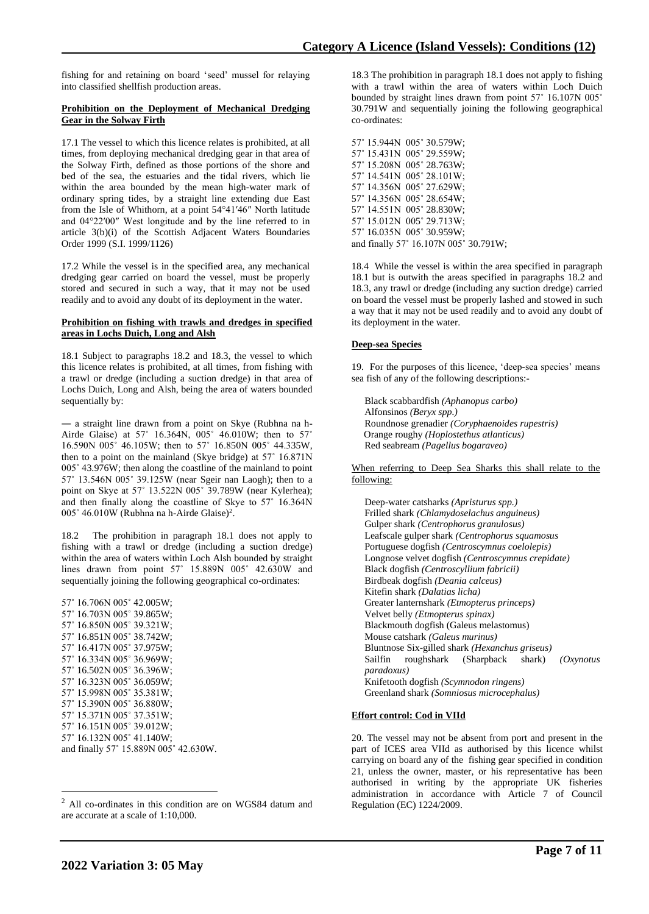fishing for and retaining on board 'seed' mussel for relaying into classified shellfish production areas.

### **Prohibition on the Deployment of Mechanical Dredging Gear in the Solway Firth**

17.1 The vessel to which this licence relates is prohibited, at all times, from deploying mechanical dredging gear in that area of the Solway Firth, defined as those portions of the shore and bed of the sea, the estuaries and the tidal rivers, which lie within the area bounded by the mean high-water mark of ordinary spring tides, by a straight line extending due East from the Isle of Whithorn, at a point 54°41′46″ North latitude and 04°22′00″ West longitude and by the line referred to in article 3(b)(i) of the Scottish Adjacent Waters Boundaries Order 1999 (S.I. 1999/1126)

17.2 While the vessel is in the specified area, any mechanical dredging gear carried on board the vessel, must be properly stored and secured in such a way, that it may not be used readily and to avoid any doubt of its deployment in the water.

#### **Prohibition on fishing with trawls and dredges in specified areas in Lochs Duich, Long and Alsh**

18.1 Subject to paragraphs 18.2 and 18.3, the vessel to which this licence relates is prohibited, at all times, from fishing with a trawl or dredge (including a suction dredge) in that area of Lochs Duich, Long and Alsh, being the area of waters bounded sequentially by:

― a straight line drawn from a point on Skye (Rubhna na h-Airde Glaise) at 57˚ 16.364N, 005˚ 46.010W; then to 57˚ 16.590N 005˚ 46.105W; then to 57˚ 16.850N 005˚ 44.335W, then to a point on the mainland (Skye bridge) at 57˚ 16.871N 005˚ 43.976W; then along the coastline of the mainland to point 57˚ 13.546N 005˚ 39.125W (near Sgeir nan Laogh); then to a point on Skye at 57˚ 13.522N 005˚ 39.789W (near Kylerhea); and then finally along the coastline of Skye to 57˚ 16.364N 005° 46.010W (Rubhna na h-Airde Glaise)<sup>2</sup>.

18.2 The prohibition in paragraph 18.1 does not apply to fishing with a trawl or dredge (including a suction dredge) within the area of waters within Loch Alsh bounded by straight lines drawn from point 57˚ 15.889N 005˚ 42.630W and sequentially joining the following geographical co-ordinates:

57˚ 16.706N 005˚ 42.005W; 57˚ 16.703N 005˚ 39.865W; 57˚ 16.850N 005˚ 39.321W; 57˚ 16.851N 005˚ 38.742W; 57˚ 16.417N 005˚ 37.975W; 57˚ 16.334N 005˚ 36.969W; 57˚ 16.502N 005˚ 36.396W; 57˚ 16.323N 005˚ 36.059W; 57˚ 15.998N 005˚ 35.381W; 57˚ 15.390N 005˚ 36.880W; 57˚ 15.371N 005˚ 37.351W; 57˚ 16.151N 005˚ 39.012W; 57˚ 16.132N 005˚ 41.140W; and finally 57˚ 15.889N 005˚ 42.630W.

18.3 The prohibition in paragraph 18.1 does not apply to fishing with a trawl within the area of waters within Loch Duich bounded by straight lines drawn from point 57˚ 16.107N 005˚ 30.791W and sequentially joining the following geographical co-ordinates:

57˚ 15.944N 005˚ 30.579W; 57˚ 15.431N 005˚ 29.559W; 57˚ 15.208N 005˚ 28.763W; 57˚ 14.541N 005˚ 28.101W; 57˚ 14.356N 005˚ 27.629W; 57˚ 14.356N 005˚ 28.654W; 57˚ 14.551N 005˚ 28.830W; 57˚ 15.012N 005˚ 29.713W; 57˚ 16.035N 005˚ 30.959W; and finally 57˚ 16.107N 005˚ 30.791W;

18.4 While the vessel is within the area specified in paragraph 18.1 but is outwith the areas specified in paragraphs 18.2 and 18.3, any trawl or dredge (including any suction dredge) carried on board the vessel must be properly lashed and stowed in such a way that it may not be used readily and to avoid any doubt of its deployment in the water.

## **Deep-sea Species**

19. For the purposes of this licence, 'deep-sea species' means sea fish of any of the following descriptions:-

Black scabbardfish *(Aphanopus carbo)* Alfonsinos *(Beryx spp.)* Roundnose grenadier *(Coryphaenoides rupestris)* Orange roughy *(Hoplostethus atlanticus)* Red seabream *(Pagellus bogaraveo)*

When referring to Deep Sea Sharks this shall relate to the following:

Deep-water catsharks *(Apristurus spp.)* Frilled shark *(Chlamydoselachus anguineus)* Gulper shark *(Centrophorus granulosus)* Leafscale gulper shark *(Centrophorus squamosus* Portuguese dogfish *(Centroscymnus coelolepis)* Longnose velvet dogfish *(Centroscymnus crepidate)* Black dogfish *(Centroscyllium fabricii)* Birdbeak dogfish *(Deania calceus)* Kitefin shark *(Dalatias licha)* Greater lanternshark *(Etmopterus princeps)* Velvet belly *(Etmopterus spinax)* Blackmouth dogfish (Galeus melastomus) Mouse catshark *(Galeus murinus)* Bluntnose Six-gilled shark *(Hexanchus griseus)* Sailfin roughshark (Sharpback shark) *(Oxynotus paradoxus)* Knifetooth dogfish *(Scymnodon ringens)* Greenland shark *(Somniosus microcephalus)*

## **Effort control: Cod in VIId**

20. The vessel may not be absent from port and present in the part of ICES area VIId as authorised by this licence whilst carrying on board any of the fishing gear specified in condition 21, unless the owner, master, or his representative has been authorised in writing by the appropriate UK fisheries administration in accordance with Article 7 of Council Regulation (EC) 1224/2009.

<sup>2</sup> All co-ordinates in this condition are on WGS84 datum and are accurate at a scale of 1:10,000.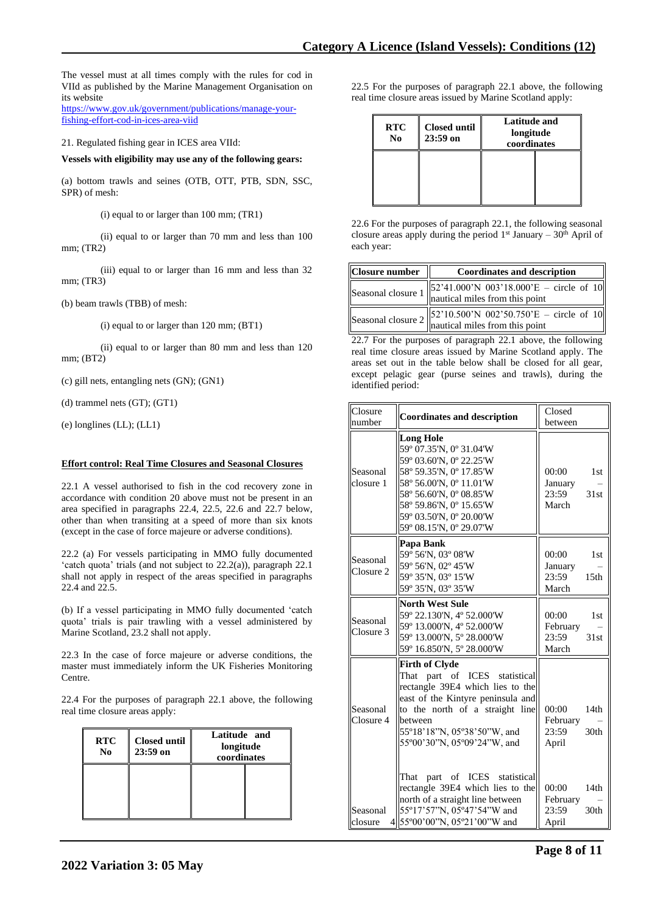The vessel must at all times comply with the rules for cod in VIId as published by the Marine Management Organisation on its website

[https://www.gov.uk/government/publications/manage-your](https://www.gov.uk/government/publications/manage-your-fishing-effort-cod-in-ices-area-viid)[fishing-effort-cod-in-ices-area-viid](https://www.gov.uk/government/publications/manage-your-fishing-effort-cod-in-ices-area-viid)

21. Regulated fishing gear in ICES area VIId:

**Vessels with eligibility may use any of the following gears:**

(a) bottom trawls and seines (OTB, OTT, PTB, SDN, SSC, SPR) of mesh:

(i) equal to or larger than 100 mm; (TR1)

(ii) equal to or larger than 70 mm and less than 100 mm; (TR2)

(iii) equal to or larger than 16 mm and less than 32 mm; (TR3)

(b) beam trawls (TBB) of mesh:

(i) equal to or larger than 120 mm; (BT1)

(ii) equal to or larger than 80 mm and less than 120 mm; (BT2)

(c) gill nets, entangling nets (GN); (GN1)

(d) trammel nets (GT); (GT1)

(e) longlines (LL); (LL1)

# **Effort control: Real Time Closures and Seasonal Closures**

22.1 A vessel authorised to fish in the cod recovery zone in accordance with condition 20 above must not be present in an area specified in paragraphs 22.4, 22.5, 22.6 and 22.7 below, other than when transiting at a speed of more than six knots (except in the case of force majeure or adverse conditions).

22.2 (a) For vessels participating in MMO fully documented 'catch quota' trials (and not subject to 22.2(a)), paragraph 22.1 shall not apply in respect of the areas specified in paragraphs 22.4 and 22.5.

(b) If a vessel participating in MMO fully documented 'catch quota' trials is pair trawling with a vessel administered by Marine Scotland, 23.2 shall not apply.

22.3 In the case of force majeure or adverse conditions, the master must immediately inform the UK Fisheries Monitoring Centre.

22.4 For the purposes of paragraph 22.1 above, the following real time closure areas apply:

| <b>RTC</b><br>$\bf No$ | <b>Closed until</b><br>$23:59$ on | Latitude and<br>longitude<br>coordinates |  |
|------------------------|-----------------------------------|------------------------------------------|--|
|                        |                                   |                                          |  |

22.5 For the purposes of paragraph 22.1 above, the following real time closure areas issued by Marine Scotland apply:

| <b>RTC</b><br>N <sub>0</sub> | <b>Closed until</b><br>$23:59$ on | <b>Latitude and</b><br>longitude<br>coordinates |  |
|------------------------------|-----------------------------------|-------------------------------------------------|--|
|                              |                                   |                                                 |  |

22.6 For the purposes of paragraph 22.1, the following seasonal closure areas apply during the period  $1<sup>st</sup>$  January –  $30<sup>th</sup>$  April of each year:

| <b>Closure number</b> | <b>Coordinates and description</b>                                                                                                                            |
|-----------------------|---------------------------------------------------------------------------------------------------------------------------------------------------------------|
|                       | Seasonal closure 1 $\begin{bmatrix} 52'41.000'N & 003'18.000'E - circle of 10 \\ nautical miles from this point \end{bmatrix}$                                |
|                       | Seasonal closure 2 $\begin{bmatrix} 52'10.500' \text{N} & 002'50.750' \text{E} - \text{circle of } 10 \\ \text{nautical miles from this point} \end{bmatrix}$ |

22.7 For the purposes of paragraph 22.1 above, the following real time closure areas issued by Marine Scotland apply. The areas set out in the table below shall be closed for all gear, except pelagic gear (purse seines and trawls), during the identified period:

| Closure<br>number     | <b>Coordinates and description</b>                                                                                                                                                                                                             | Closed<br>between                                                           |
|-----------------------|------------------------------------------------------------------------------------------------------------------------------------------------------------------------------------------------------------------------------------------------|-----------------------------------------------------------------------------|
|                       |                                                                                                                                                                                                                                                |                                                                             |
| Seasonal<br>closure 1 | <b>Long Hole</b><br>59° 07.35'N, 0° 31.04'W<br>59° 03.60'N, 0° 22.25'W<br>58° 59.35'N, 0° 17.85'W<br>58° 56.00'N, 0° 11.01'W<br>58° 56.60'N, 0° 08.85'W<br>58° 59.86'N, 0° 15.65'W<br>59° 03.50'N, 0° 20.00'W<br>59° 08.15'N, 0° 29.07'W       | 00:00<br>1 <sub>st</sub><br>January<br>23:59<br>31st<br>March               |
| Seasonal<br>Closure 2 | Papa Bank<br>59° 56'N, 03° 08'W<br>59° 56'N, 02° 45'W<br>59° 35'N, 03° 15'W<br>59° 35'N, 03° 35'W                                                                                                                                              | 00:00<br>1st<br>January<br>23:59<br>15 <sub>th</sub><br>March               |
| Seasonal<br>Closure 3 | <b>North West Sule</b><br>59° 22.130'N, 4° 52.000'W<br>59° 13.000'N, 4° 52.000'W<br>59° 13.000'N, 5° 28.000'W<br>59° 16.850'N, 5° 28.000'W                                                                                                     | 00:00<br>1 <sub>st</sub><br>February<br>23:59<br>31st<br>March              |
| Seasonal<br>Closure 4 | <b>Firth of Clyde</b><br>part of ICES statistical<br>That<br>rectangle 39E4 which lies to the<br>east of the Kintyre peninsula and<br>to the north of a straight line<br>between<br>55°18'18"N, 05°38'50"W, and<br>55°00'30"N, 05°09'24"W, and | 00:00<br>14 <sub>th</sub><br>February<br>30 <sub>th</sub><br>23:59<br>April |
| Seasonal<br>closure   | part of ICES statistical<br>That<br>rectangle 39E4 which lies to the<br>north of a straight line between<br>55°17'57"N, 05°47'54"W and<br>4 55°00'00"N, 05°21'00"W and                                                                         | 00:00<br>14th<br>February<br>23:59<br>30th<br>April                         |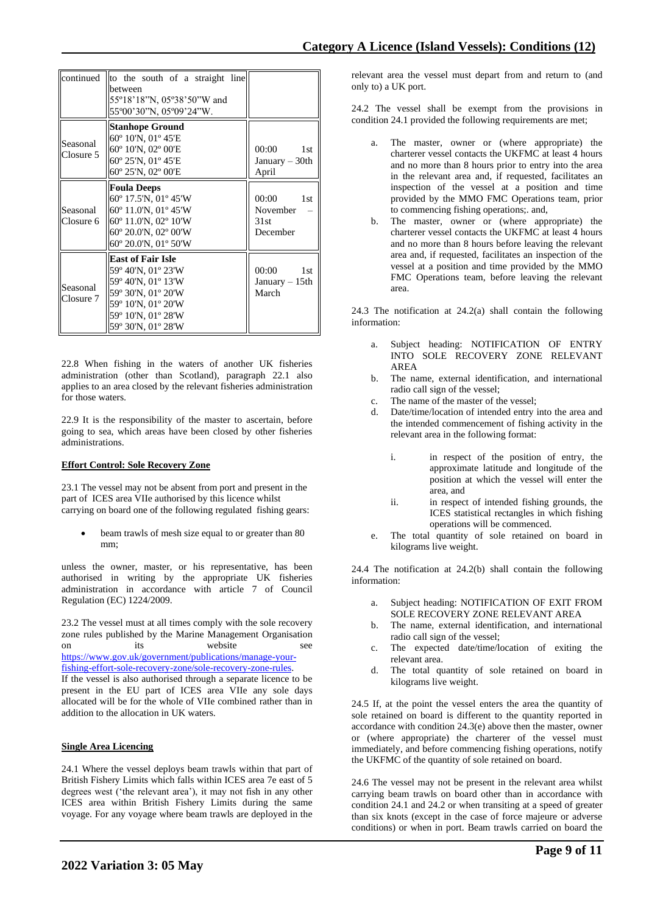|                       | continued to the south of a straight line<br>between<br>55°18'18"N, 05°38'50"W and<br>55°00'30"N, 05°09'24"W.                                                 |                                                          |
|-----------------------|---------------------------------------------------------------------------------------------------------------------------------------------------------------|----------------------------------------------------------|
| Seasonal<br>Closure 5 | <b>Stanhope Ground</b><br>60° 10'N, 01° 45'E<br>60° 10'N, 02° 00'E<br>$60^{\circ}$ 25'N, $01^{\circ}$ 45'E<br>60° 25'N, 02° 00'E                              | 00:00<br>1st<br>January $-30$ th<br>April                |
| Seasonal<br>Closure 6 | <b>Foula Deeps</b><br>60° 17.5'N, 01° 45'W<br>$60^{\circ}$ 11.0'N, 01 $^{\circ}$ 45'W<br>60° 11.0'N, 02° 10'W<br>60° 20.0'N, 02° 00'W<br>60° 20.0'N, 01° 50'W | 00:00<br>1 <sub>st</sub><br>November<br>31st<br>December |
| Seasonal<br>Closure 7 | <b>East of Fair Isle</b><br>59° 40'N, 01° 23'W<br>59° 40'N, 01° 13'W<br>59° 30'N, 01° 20'W<br>59° 10'N, 01° 20'W<br>59° 10'N, 01° 28'W<br>59° 30'N, 01° 28'W  | 00:00<br>1 <sub>st</sub><br>January $-15$ th<br>March    |

22.8 When fishing in the waters of another UK fisheries administration (other than Scotland), paragraph 22.1 also applies to an area closed by the relevant fisheries administration for those waters.

22.9 It is the responsibility of the master to ascertain, before going to sea, which areas have been closed by other fisheries administrations.

# **Effort Control: Sole Recovery Zone**

23.1 The vessel may not be absent from port and present in the part of ICES area VIIe authorised by this licence whilst carrying on board one of the following regulated fishing gears:

beam trawls of mesh size equal to or greater than 80 mm;

unless the owner, master, or his representative, has been authorised in writing by the appropriate UK fisheries administration in accordance with article 7 of Council Regulation (EC) 1224/2009.

23.2 The vessel must at all times comply with the sole recovery zone rules published by the Marine Management Organisation on its website [https://www.gov.uk/government/publications/manage-your-](https://www.gov.uk/government/publications/manage-your-fishing-effort-sole-recovery-zone/sole-recovery-zone-rules)

[fishing-effort-sole-recovery-zone/sole-recovery-zone-rules.](https://www.gov.uk/government/publications/manage-your-fishing-effort-sole-recovery-zone/sole-recovery-zone-rules)

If the vessel is also authorised through a separate licence to be present in the EU part of ICES area VIIe any sole days allocated will be for the whole of VIIe combined rather than in addition to the allocation in UK waters.

# **Single Area Licencing**

24.1 Where the vessel deploys beam trawls within that part of British Fishery Limits which falls within ICES area 7e east of 5 degrees west ('the relevant area'), it may not fish in any other ICES area within British Fishery Limits during the same voyage. For any voyage where beam trawls are deployed in the

relevant area the vessel must depart from and return to (and only to) a UK port.

24.2 The vessel shall be exempt from the provisions in condition 24.1 provided the following requirements are met;

- The master, owner or (where appropriate) the charterer vessel contacts the UKFMC at least 4 hours and no more than 8 hours prior to entry into the area in the relevant area and, if requested, facilitates an inspection of the vessel at a position and time provided by the MMO FMC Operations team, prior to commencing fishing operations;. and,
- b. The master, owner or (where appropriate) the charterer vessel contacts the UKFMC at least 4 hours and no more than 8 hours before leaving the relevant area and, if requested, facilitates an inspection of the vessel at a position and time provided by the MMO FMC Operations team, before leaving the relevant area.

24.3 The notification at 24.2(a) shall contain the following information:

- a. Subject heading: NOTIFICATION OF ENTRY INTO SOLE RECOVERY ZONE RELEVANT AREA
- b. The name, external identification, and international radio call sign of the vessel;
- c. The name of the master of the vessel;
- d. Date/time/location of intended entry into the area and the intended commencement of fishing activity in the relevant area in the following format:
	- i. in respect of the position of entry, the approximate latitude and longitude of the position at which the vessel will enter the area, and
	- ii. in respect of intended fishing grounds, the ICES statistical rectangles in which fishing operations will be commenced.
- e. The total quantity of sole retained on board in kilograms live weight.

24.4 The notification at 24.2(b) shall contain the following information:

- a. Subject heading: NOTIFICATION OF EXIT FROM SOLE RECOVERY ZONE RELEVANT AREA
- b. The name, external identification, and international radio call sign of the vessel;
- c. The expected date/time/location of exiting the relevant area.
- d. The total quantity of sole retained on board in kilograms live weight.

24.5 If, at the point the vessel enters the area the quantity of sole retained on board is different to the quantity reported in accordance with condition 24.3(e) above then the master, owner or (where appropriate) the charterer of the vessel must immediately, and before commencing fishing operations, notify the UKFMC of the quantity of sole retained on board.

24.6 The vessel may not be present in the relevant area whilst carrying beam trawls on board other than in accordance with condition 24.1 and 24.2 or when transiting at a speed of greater than six knots (except in the case of force majeure or adverse conditions) or when in port. Beam trawls carried on board the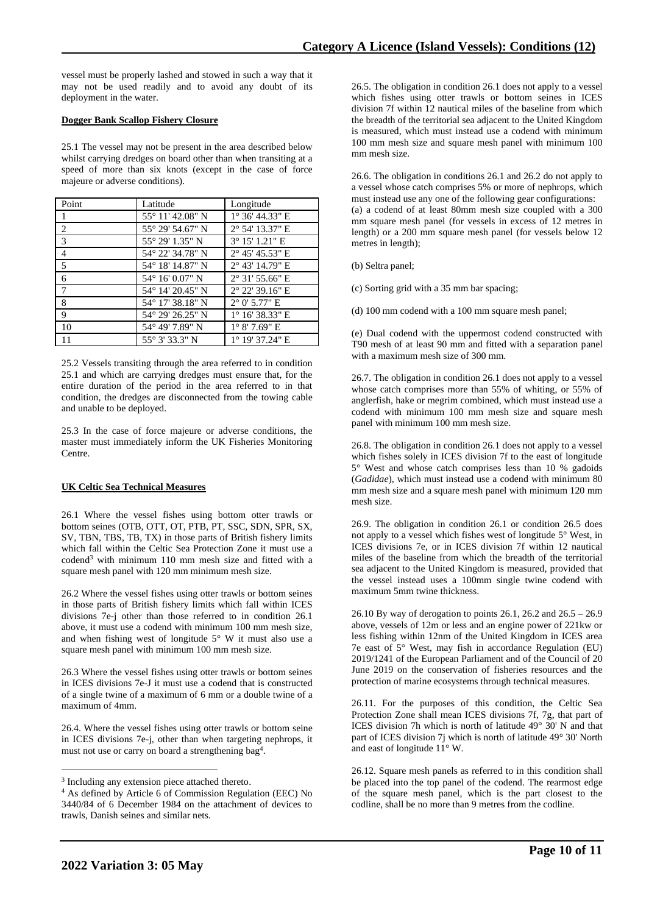vessel must be properly lashed and stowed in such a way that it may not be used readily and to avoid any doubt of its deployment in the water.

## **Dogger Bank Scallop Fishery Closure**

25.1 The vessel may not be present in the area described below whilst carrying dredges on board other than when transiting at a speed of more than six knots (except in the case of force majeure or adverse conditions).

| Point          | Latitude         | Longitude                |
|----------------|------------------|--------------------------|
| 1              | 55° 11′ 42.08″ N | 1° 36' 44.33" E          |
| 2              | 55° 29′ 54.67″ N | 2° 54' 13.37" E          |
| 3              | 55° 29′ 1.35″ N  | $3^{\circ}$ 15' 1.21" E  |
| $\overline{4}$ | 54° 22′ 34.78″ N | $2^{\circ}$ 45' 45.53" E |
| 5              | 54° 18′ 14.87″ N | 2° 43' 14.79" E          |
| 6              | 54° 16′ 0.07″ N  | $2^{\circ}$ 31' 55.66" E |
| 7              | 54° 14′ 20.45″ N | $2^{\circ}$ 22' 39.16" E |
| 8              | 54° 17′ 38.18″ N | $2^{\circ}$ 0' 5.77" E   |
| 9              | 54° 29′ 26.25″ N | $1^{\circ}$ 16' 38.33" E |
| 10             | 54° 49' 7.89" N  | $1^{\circ}$ 8' 7.69" E   |
| 11             | 55° 3′ 33.3″ N   | 1° 19' 37.24" E          |

25.2 Vessels transiting through the area referred to in condition 25.1 and which are carrying dredges must ensure that, for the entire duration of the period in the area referred to in that condition, the dredges are disconnected from the towing cable and unable to be deployed.

25.3 In the case of force majeure or adverse conditions, the master must immediately inform the UK Fisheries Monitoring Centre.

# **UK Celtic Sea Technical Measures**

26.1 Where the vessel fishes using bottom otter trawls or bottom seines (OTB, OTT, OT, PTB, PT, SSC, SDN, SPR, SX, SV, TBN, TBS, TB, TX) in those parts of British fishery limits which fall within the Celtic Sea Protection Zone it must use a codend<sup>3</sup> with minimum 110 mm mesh size and fitted with a square mesh panel with 120 mm minimum mesh size.

26.2 Where the vessel fishes using otter trawls or bottom seines in those parts of British fishery limits which fall within ICES divisions 7e-j other than those referred to in condition 26.1 above, it must use a codend with minimum 100 mm mesh size, and when fishing west of longitude 5° W it must also use a square mesh panel with minimum 100 mm mesh size.

26.3 Where the vessel fishes using otter trawls or bottom seines in ICES divisions 7e-J it must use a codend that is constructed of a single twine of a maximum of 6 mm or a double twine of a maximum of 4mm.

26.4. Where the vessel fishes using otter trawls or bottom seine in ICES divisions 7e-j, other than when targeting nephrops, it must not use or carry on board a strengthening bag<sup>4</sup>.

26.5. The obligation in condition 26.1 does not apply to a vessel which fishes using otter trawls or bottom seines in ICES division 7f within 12 nautical miles of the baseline from which the breadth of the territorial sea adjacent to the United Kingdom is measured, which must instead use a codend with minimum 100 mm mesh size and square mesh panel with minimum 100 mm mesh size.

26.6. The obligation in conditions 26.1 and 26.2 do not apply to a vessel whose catch comprises 5% or more of nephrops, which must instead use any one of the following gear configurations: (a) a codend of at least 80mm mesh size coupled with a 300 mm square mesh panel (for vessels in excess of 12 metres in length) or a 200 mm square mesh panel (for vessels below 12 metres in length);

(b) Seltra panel;

(c) Sorting grid with a 35 mm bar spacing;

(d) 100 mm codend with a 100 mm square mesh panel;

(e) Dual codend with the uppermost codend constructed with T90 mesh of at least 90 mm and fitted with a separation panel with a maximum mesh size of 300 mm.

26.7. The obligation in condition 26.1 does not apply to a vessel whose catch comprises more than 55% of whiting, or 55% of anglerfish, hake or megrim combined, which must instead use a codend with minimum 100 mm mesh size and square mesh panel with minimum 100 mm mesh size.

26.8. The obligation in condition 26.1 does not apply to a vessel which fishes solely in ICES division 7f to the east of longitude 5° West and whose catch comprises less than 10 % gadoids (*Gadidae*), which must instead use a codend with minimum 80 mm mesh size and a square mesh panel with minimum 120 mm mesh size.

26.9. The obligation in condition 26.1 or condition 26.5 does not apply to a vessel which fishes west of longitude 5° West, in ICES divisions 7e, or in ICES division 7f within 12 nautical miles of the baseline from which the breadth of the territorial sea adjacent to the United Kingdom is measured, provided that the vessel instead uses a 100mm single twine codend with maximum 5mm twine thickness.

26.10 By way of derogation to points 26.1, 26.2 and 26.5 – 26.9 above, vessels of 12m or less and an engine power of 221kw or less fishing within 12nm of the United Kingdom in ICES area 7e east of 5° West, may fish in accordance Regulation (EU) 2019/1241 of the European Parliament and of the Council of 20 June 2019 on the conservation of fisheries resources and the protection of marine ecosystems through technical measures.

26.11. For the purposes of this condition, the Celtic Sea Protection Zone shall mean ICES divisions 7f, 7g, that part of ICES division 7h which is north of latitude 49° 30' N and that part of ICES division 7j which is north of latitude 49° 30' North and east of longitude 11° W.

26.12. Square mesh panels as referred to in this condition shall be placed into the top panel of the codend. The rearmost edge of the square mesh panel, which is the part closest to the codline, shall be no more than 9 metres from the codline.

<sup>&</sup>lt;sup>3</sup> Including any extension piece attached thereto.

<sup>4</sup> As defined by Article 6 of Commission Regulation (EEC) No 3440/84 of 6 December 1984 on the attachment of devices to trawls, Danish seines and similar nets.